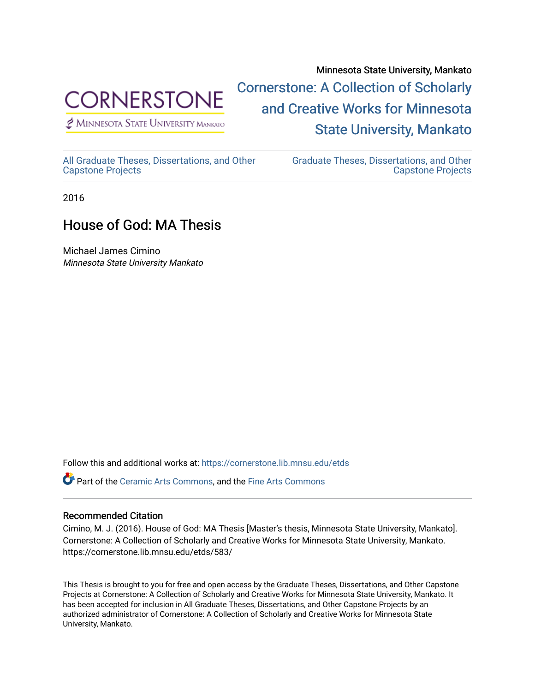

 $<sup>2</sup>$  Minnesota State University Mankato</sup>

Minnesota State University, Mankato [Cornerstone: A Collection of Scholarly](https://cornerstone.lib.mnsu.edu/)  [and Creative Works for Minnesota](https://cornerstone.lib.mnsu.edu/)  [State University, Mankato](https://cornerstone.lib.mnsu.edu/) 

[All Graduate Theses, Dissertations, and Other](https://cornerstone.lib.mnsu.edu/etds)  [Capstone Projects](https://cornerstone.lib.mnsu.edu/etds) 

[Graduate Theses, Dissertations, and Other](https://cornerstone.lib.mnsu.edu/theses_dissertations-capstone)  [Capstone Projects](https://cornerstone.lib.mnsu.edu/theses_dissertations-capstone) 

2016

## House of God: MA Thesis

Michael James Cimino Minnesota State University Mankato

Follow this and additional works at: [https://cornerstone.lib.mnsu.edu/etds](https://cornerstone.lib.mnsu.edu/etds?utm_source=cornerstone.lib.mnsu.edu%2Fetds%2F583&utm_medium=PDF&utm_campaign=PDFCoverPages) 

Part of the [Ceramic Arts Commons,](http://network.bepress.com/hgg/discipline/1336?utm_source=cornerstone.lib.mnsu.edu%2Fetds%2F583&utm_medium=PDF&utm_campaign=PDFCoverPages) and the [Fine Arts Commons](http://network.bepress.com/hgg/discipline/1141?utm_source=cornerstone.lib.mnsu.edu%2Fetds%2F583&utm_medium=PDF&utm_campaign=PDFCoverPages)

## Recommended Citation

Cimino, M. J. (2016). House of God: MA Thesis [Master's thesis, Minnesota State University, Mankato]. Cornerstone: A Collection of Scholarly and Creative Works for Minnesota State University, Mankato. https://cornerstone.lib.mnsu.edu/etds/583/

This Thesis is brought to you for free and open access by the Graduate Theses, Dissertations, and Other Capstone Projects at Cornerstone: A Collection of Scholarly and Creative Works for Minnesota State University, Mankato. It has been accepted for inclusion in All Graduate Theses, Dissertations, and Other Capstone Projects by an authorized administrator of Cornerstone: A Collection of Scholarly and Creative Works for Minnesota State University, Mankato.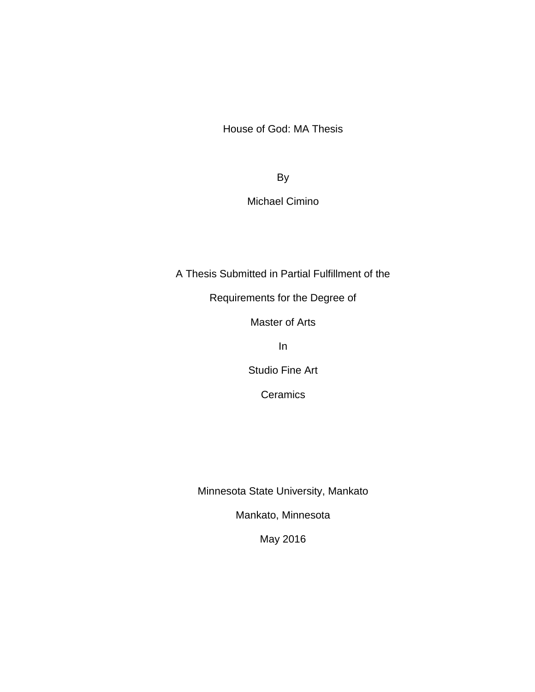House of God: MA Thesis

By

Michael Cimino

A Thesis Submitted in Partial Fulfillment of the

Requirements for the Degree of

Master of Arts

In

Studio Fine Art

**Ceramics** 

Minnesota State University, Mankato

Mankato, Minnesota

May 2016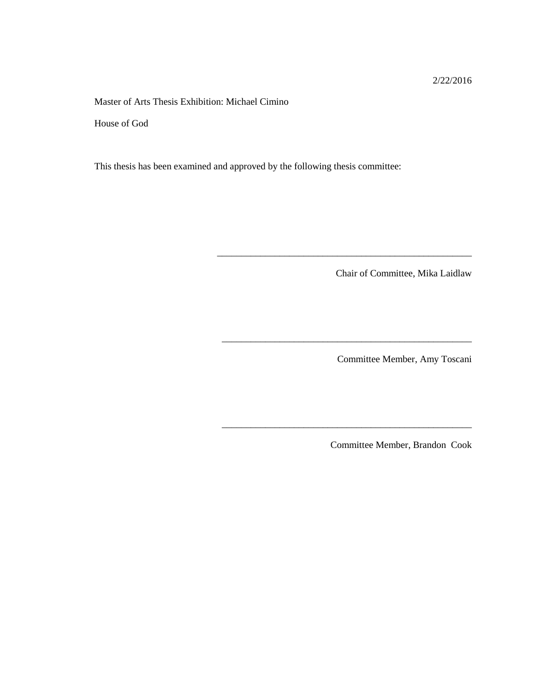2/22/2016

Master of Arts Thesis Exhibition: Michael Cimino

House of God

This thesis has been examined and approved by the following thesis committee:

Chair of Committee, Mika Laidlaw

\_\_\_\_\_\_\_\_\_\_\_\_\_\_\_\_\_\_\_\_\_\_\_\_\_\_\_\_\_\_\_\_\_\_\_\_\_\_\_\_\_\_\_\_\_\_\_\_\_\_\_\_\_

\_\_\_\_\_\_\_\_\_\_\_\_\_\_\_\_\_\_\_\_\_\_\_\_\_\_\_\_\_\_\_\_\_\_\_\_\_\_\_\_\_\_\_\_\_\_\_\_\_\_\_\_

\_\_\_\_\_\_\_\_\_\_\_\_\_\_\_\_\_\_\_\_\_\_\_\_\_\_\_\_\_\_\_\_\_\_\_\_\_\_\_\_\_\_\_\_\_\_\_\_\_\_\_\_

Committee Member, Amy Toscani

Committee Member, Brandon Cook